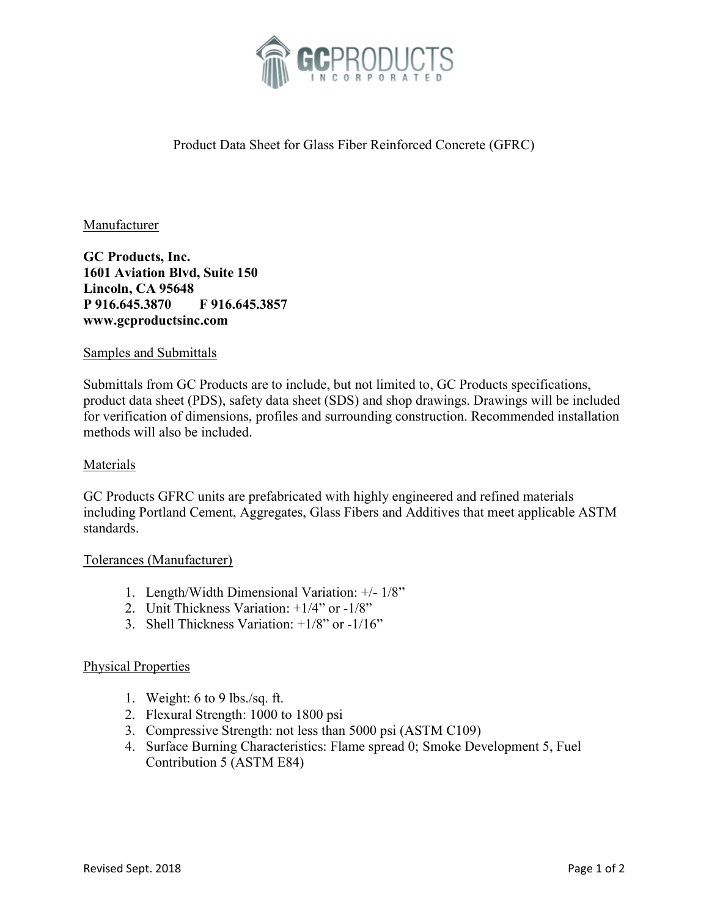

# Product Data Sheet for Glass Fiber Reinforced Concrete (GFRC)

### **Manufacturer**

GC Products, Inc. 1601 Aviation Blvd, Suite 150 Lincoln, CA 95648 P 916.645.3870 F 916.645.3857 www.gcproductsinc.com

#### Samples and Submittals

Submittals from GC Products are to include, but not limited to, GC Products specifications, product data sheet (PDS), safety data sheet (SDS) and shop drawings. Drawings will be included for verification of dimensions, profiles and surrounding construction. Recommended installation methods will also be included.

#### **Materials**

GC Products GFRC units are prefabricated with highly engineered and refined materials including Portland Cement, Aggregates, Glass Fibers and Additives that meet applicable ASTM standards.

#### Tolerances (Manufacturer)

- 1. Length/Width Dimensional Variation: +/- 1/8"
- 2. Unit Thickness Variation: +1/4" or -1/8"
- 3. Shell Thickness Variation: +1/8" or -1/16"

#### Physical Properties

- 1. Weight: 6 to 9 lbs./sq. ft.
- 2. Flexural Strength: 1000 to 1800 psi
- 3. Compressive Strength: not less than 5000 psi (ASTM C109)
- 4. Surface Burning Characteristics: Flame spread 0; Smoke Development 5, Fuel Contribution 5 (ASTM E84)